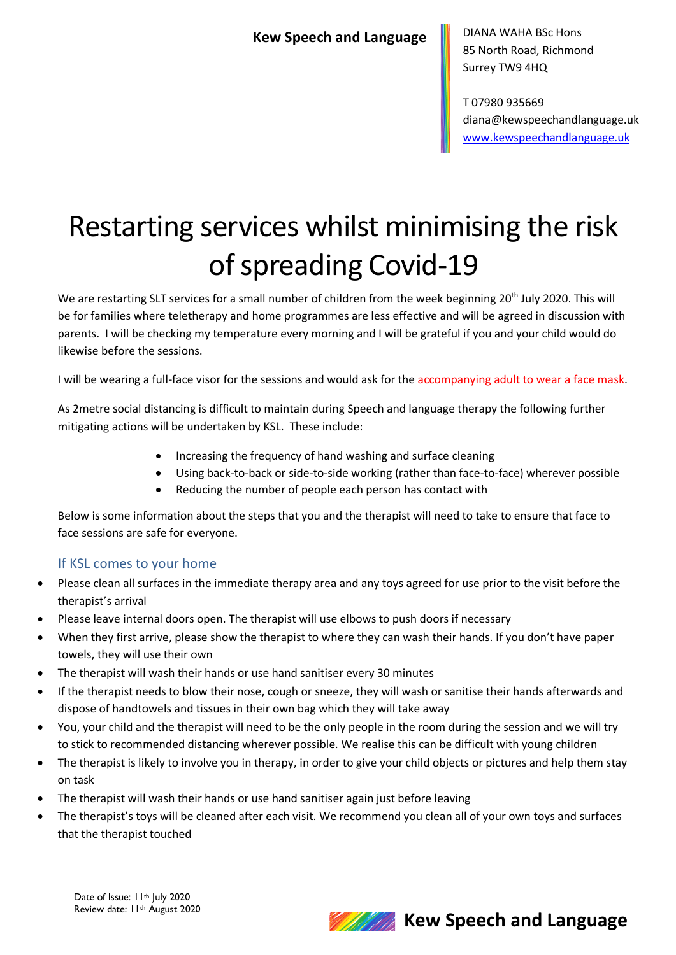DIANA WAHA BSc Hons 85 North Road, Richmond Surrey TW9 4HQ

T 07980 935669 diana@kewspeechandlanguage.uk www.kewspeechandlanguage.uk

# Restarting services whilst minimising the risk of spreading Covid-19

We are restarting SLT services for a small number of children from the week beginning 20<sup>th</sup> July 2020. This will be for families where teletherapy and home programmes are less effective and will be agreed in discussion with parents. I will be checking my temperature every morning and I will be grateful if you and your child would do likewise before the sessions.

I will be wearing a full-face visor for the sessions and would ask for the accompanying adult to wear a face mask.

As 2metre social distancing is difficult to maintain during Speech and language therapy the following further mitigating actions will be undertaken by KSL. These include:

- Increasing the frequency of hand washing and surface cleaning
- Using back-to-back or side-to-side working (rather than face-to-face) wherever possible
	- Reducing the number of people each person has contact with

Below is some information about the steps that you and the therapist will need to take to ensure that face to face sessions are safe for everyone.

#### If KSL comes to your home

- Please clean all surfaces in the immediate therapy area and any toys agreed for use prior to the visit before the therapist's arrival
- Please leave internal doors open. The therapist will use elbows to push doors if necessary
- When they first arrive, please show the therapist to where they can wash their hands. If you don't have paper towels, they will use their own
- The therapist will wash their hands or use hand sanitiser every 30 minutes
- If the therapist needs to blow their nose, cough or sneeze, they will wash or sanitise their hands afterwards and dispose of handtowels and tissues in their own bag which they will take away
- You, your child and the therapist will need to be the only people in the room during the session and we will try to stick to recommended distancing wherever possible. We realise this can be difficult with young children
- The therapist is likely to involve you in therapy, in order to give your child objects or pictures and help them stay on task
- The therapist will wash their hands or use hand sanitiser again just before leaving
- The therapist's toys will be cleaned after each visit. We recommend you clean all of your own toys and surfaces that the therapist touched

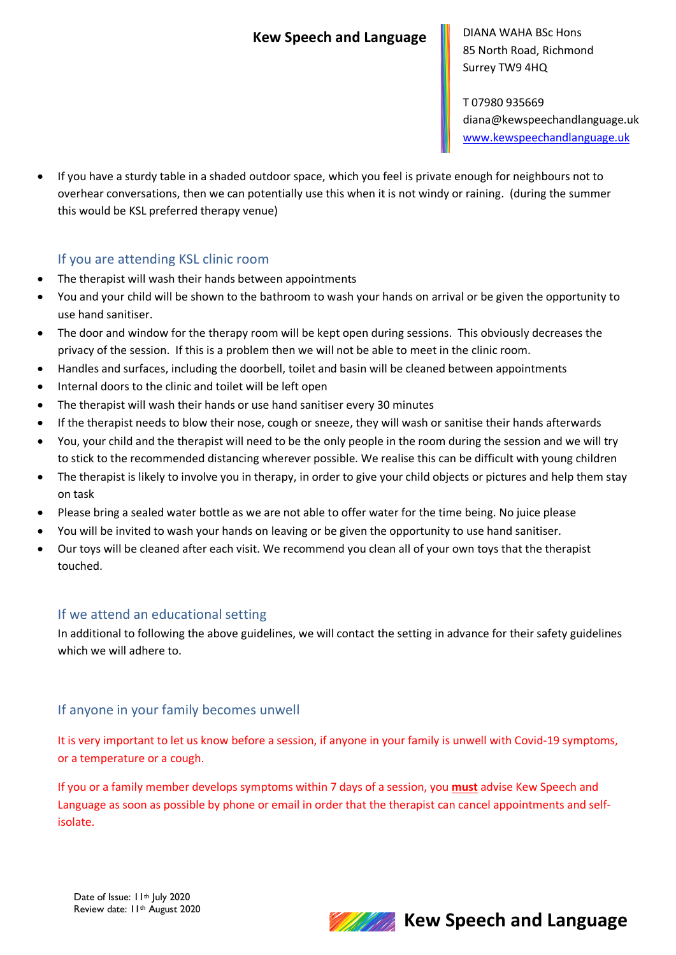DIANA WAHA BSc Hons 85 North Road, Richmond Surrey TW9 4HQ

T 07980 935669 diana@kewspeechandlanguage.uk www.kewspeechandlanguage.uk

• If you have a sturdy table in a shaded outdoor space, which you feel is private enough for neighbours not to overhear conversations, then we can potentially use this when it is not windy or raining. (during the summer this would be KSL preferred therapy venue)

#### If you are attending KSL clinic room

- The therapist will wash their hands between appointments
- You and your child will be shown to the bathroom to wash your hands on arrival or be given the opportunity to use hand sanitiser.
- The door and window for the therapy room will be kept open during sessions. This obviously decreases the privacy of the session. If this is a problem then we will not be able to meet in the clinic room.
- Handles and surfaces, including the doorbell, toilet and basin will be cleaned between appointments
- Internal doors to the clinic and toilet will be left open
- The therapist will wash their hands or use hand sanitiser every 30 minutes
- If the therapist needs to blow their nose, cough or sneeze, they will wash or sanitise their hands afterwards
- You, your child and the therapist will need to be the only people in the room during the session and we will try to stick to the recommended distancing wherever possible. We realise this can be difficult with young children
- The therapist is likely to involve you in therapy, in order to give your child objects or pictures and help them stay on task
- Please bring a sealed water bottle as we are not able to offer water for the time being. No juice please
- You will be invited to wash your hands on leaving or be given the opportunity to use hand sanitiser.
- Our toys will be cleaned after each visit. We recommend you clean all of your own toys that the therapist touched.

#### If we attend an educational setting

In additional to following the above guidelines, we will contact the setting in advance for their safety guidelines which we will adhere to.

#### If anyone in your family becomes unwell

It is very important to let us know before a session, if anyone in your family is unwell with Covid-19 symptoms, or a temperature or a cough.

If you or a family member develops symptoms within 7 days of a session, you **must** advise Kew Speech and Language as soon as possible by phone or email in order that the therapist can cancel appointments and selfisolate.



### **Kew Speech and Language**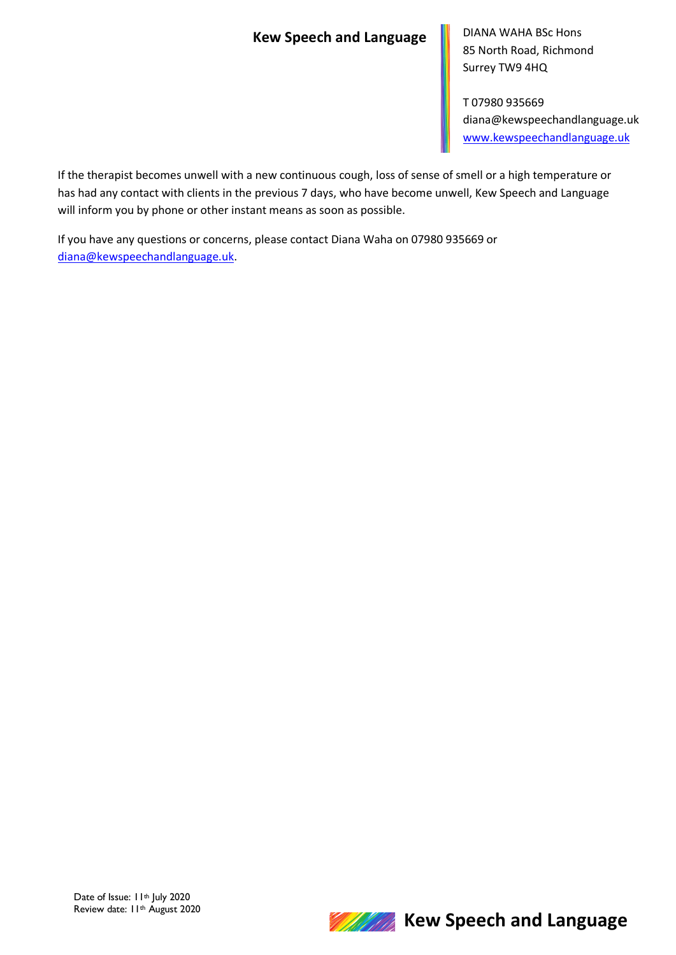### **Kew Speech and Language**

DIANA WAHA BSc Hons 85 North Road, Richmond Surrey TW9 4HQ

T 07980 935669 diana@kewspeechandlanguage.uk www.kewspeechandlanguage.uk

If the therapist becomes unwell with a new continuous cough, loss of sense of smell or a high temperature or has had any contact with clients in the previous 7 days, who have become unwell, Kew Speech and Language will inform you by phone or other instant means as soon as possible.

If you have any questions or concerns, please contact Diana Waha on 07980 935669 or diana@kewspeechandlanguage.uk.